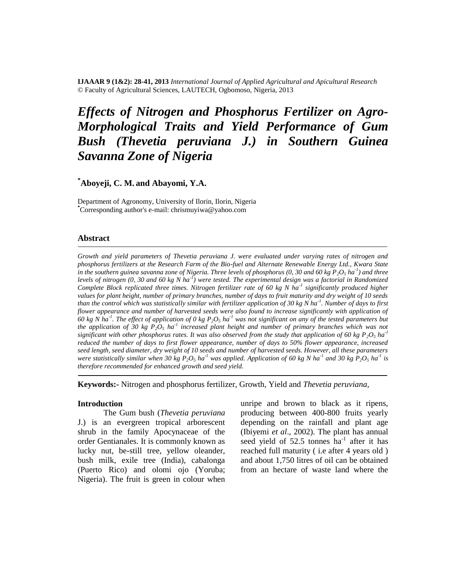**IJAAAR 9 (1&2): 28-41, 2013** *International Journal of Applied Agricultural and Apicultural Research* © Faculty of Agricultural Sciences, LAUTECH, Ogbomoso, Nigeria, 2013

# *Effects of Nitrogen and Phosphorus Fertilizer on Agro-Morphological Traits and Yield Performance of Gum Bush (Thevetia peruviana J.) in Southern Guinea Savanna Zone of Nigeria*

# **\*Aboyeji, C. M. and Abayomi, Y.A.**

Department of Agronomy, University of Ilorin, Ilorin, Nigeria **\***Corresponding author's e-mail: [chrismuyiwa@yahoo.com](mailto:chrismuyiwa@yahoo.com)

#### **Abstract**

*Growth and yield parameters of Thevetia peruviana J. were evaluated under varying rates of nitrogen and phosphorus fertilizers at the Research Farm of the Bio-fuel and Alternate Renewable Energy Ltd., Kwara State in the southern guinea savanna zone of Nigeria. Three levels of phosphorus (0, 30 and 60 kg P2O<sup>5</sup> ha-1 ) and three levels of nitrogen (0, 30 and 60 kg N ha-1 ) were tested. The experimental design was a factorial in Randomized Complete Block replicated three times. Nitrogen fertilizer rate of 60 kg N ha-1 significantly produced higher values for plant height, number of primary branches, number of days to fruit maturity and dry weight of 10 seeds than the control which was statistically similar with fertilizer application of 30 kg N ha-1 . Number of days to first flower appearance and number of harvested seeds were also found to increase significantly with application of 60 kg N ha-1 . The effect of application of 0 kg P2O<sup>5</sup> ha-1 was not significant on any of the tested parameters but the application of 30 kg P2O<sup>5</sup> ha-1 increased plant height and number of primary branches which was not significant with other phosphorus rates. It was also observed from the study that application of 60 kg*  $P_2O_5$  *ha<sup>1</sup> reduced the number of days to first flower appearance, number of days to 50% flower appearance, increased seed length, seed diameter, dry weight of 10 seeds and number of harvested seeds. However, all these parameters were statistically similar when 30 kg P2O<sup>5</sup> ha-1 was applied. Application of 60 kg N ha-1 and 30 kg P2O<sup>5</sup> ha-1 is therefore recommended for enhanced growth and seed yield.*

**Keywords:-** Nitrogen and phosphorus fertilizer, Growth, Yield and *Thevetia peruviana,*

#### **Introduction**

The Gum bush (*Thevetia peruviana* J.) is an evergreen tropical arborescent shrub in the family Apocynaceae of the order Gentianales. It is commonly known as lucky nut, be-still tree, yellow oleander, bush milk, exile tree (India), cabalonga (Puerto Rico) and olomi ojo (Yoruba; Nigeria). The fruit is green in colour when

unripe and brown to black as it ripens, producing between 400-800 fruits yearly depending on the rainfall and plant age (Ibiyemi *et al*., 2002). The plant has annual seed yield of 52.5 tonnes  $ha^{-1}$  after it has reached full maturity ( i.e after 4 years old ) and about 1,750 litres of oil can be obtained from an hectare of waste land where the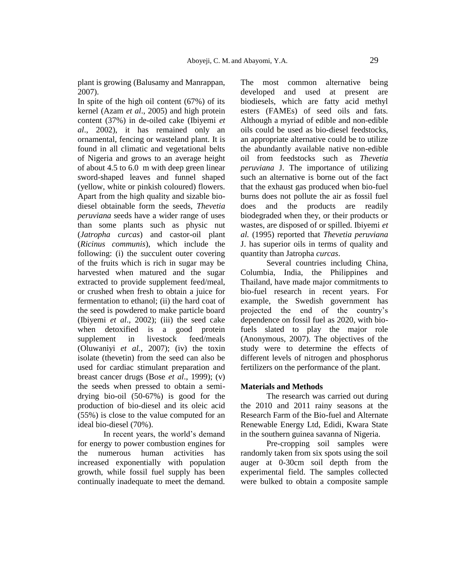plant is growing (Balusamy and Manrappan, 2007).

In spite of the high oil content (67%) of its kernel (Azam *et al*., 2005) and high protein content (37%) in de-oiled cake (Ibiyemi *et al*., 2002), it has remained only an ornamental, fencing or wasteland plant. It is found in all climatic and vegetational belts of Nigeria and grows to an average height of about 4.5 to 6.0 m with deep green linear sword-shaped leaves and funnel shaped (yellow, white or pinkish coloured) flowers. Apart from the high quality and sizable biodiesel obtainable form the seeds, *Thevetia peruviana* seeds have a wider range of uses than some plants such as physic nut (*Jatropha curcas*) and castor-oil plant (*Ricinus communis*), which include the following: (i) the succulent outer covering of the fruits which is rich in sugar may be harvested when matured and the sugar extracted to provide supplement feed/meal, or crushed when fresh to obtain a juice for fermentation to ethanol; (ii) the hard coat of the seed is powdered to make particle board (Ibiyemi *et al*., 2002); (iii) the seed cake when detoxified is a good protein supplement in livestock feed/meals (Oluwaniyi *et al.*, 2007); (iv) the toxin isolate (thevetin) from the seed can also be used for cardiac stimulant preparation and breast cancer drugs (Bose *et al*., 1999); (v) the seeds when pressed to obtain a semidrying bio-oil (50-67%) is good for the production of bio-diesel and its oleic acid (55%) is close to the value computed for an ideal bio-diesel (70%).

In recent years, the world"s demand for energy to power combustion engines for the numerous human activities has increased exponentially with population growth, while fossil fuel supply has been continually inadequate to meet the demand.

The most common alternative being developed and used at present are biodiesels, which are fatty acid methyl esters (FAMEs) of seed oils and fats. Although a myriad of edible and non-edible oils could be used as bio-diesel feedstocks, an appropriate alternative could be to utilize the abundantly available native non-edible oil from feedstocks such as *Thevetia peruviana* J. The importance of utilizing such an alternative is borne out of the fact that the exhaust gas produced when bio-fuel burns does not pollute the air as fossil fuel does and the products are readily biodegraded when they, or their products or wastes, are disposed of or spilled. Ibiyemi *et al.* (1995) reported that *Thevetia peruviana*  J. has superior oils in terms of quality and quantity than Jatropha *curcas*.

Several countries including China, Columbia, India, the Philippines and Thailand, have made major commitments to bio-fuel research in recent years. For example, the Swedish government has projected the end of the country"s dependence on fossil fuel as 2020, with biofuels slated to play the major role (Anonymous, 2007). The objectives of the study were to determine the effects of different levels of nitrogen and phosphorus fertilizers on the performance of the plant.

## **Materials and Methods**

The research was carried out during the 2010 and 2011 rainy seasons at the Research Farm of the Bio-fuel and Alternate Renewable Energy Ltd, Edidi, Kwara State in the southern guinea savanna of Nigeria.

Pre-cropping soil samples were randomly taken from six spots using the soil auger at 0-30cm soil depth from the experimental field. The samples collected were bulked to obtain a composite sample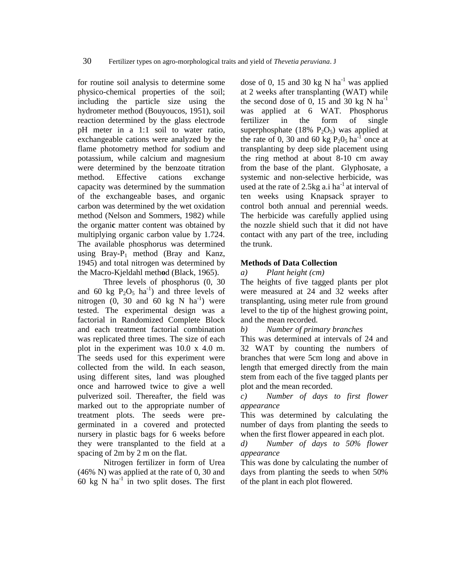for routine soil analysis to determine some physico-chemical properties of the soil; including the particle size using the hydrometer method (Bouyoucos, 1951), soil reaction determined by the glass electrode pH meter in a 1:1 soil to water ratio, exchangeable cations were analyzed by the flame photometry method for sodium and potassium, while calcium and magnesium were determined by the benzoate titration method. Effective cations exchange capacity was determined by the summation of the exchangeable bases, and organic carbon was determined by the wet oxidation method (Nelson and Sommers, 1982) while the organi**c** matter content was obtained by multiplying organic carbon value by 1.724. The available phosphorus was determined using  $Bray-P_1$  method (Bray and Kanz, 1945) and total nitrogen was determined by the Macro-Kjeldahl meth**o**d (Black, 1965).

Three levels of phosphorus (0, 30 and 60 kg  $P_2O_5$  ha<sup>-1</sup>) and three levels of nitrogen  $(0, 30$  and  $60$  kg N ha<sup>-1</sup>) were tested. The experimental design was a factorial in Randomized Complete Block and each treatment factorial combination was replicated three times. The size of each plot in the experiment was 10.0 x 4.0 m. The seeds used for this experiment were collected from the wild. In each season, using different sites, land was ploughed once and harrowed twice to give a well pulverized soil. Thereafter, the field was marked out to the appropriate number of treatment plots. The seeds were pregerminated in a covered and protected nursery in plastic bags for 6 weeks before they were transplanted to the field at a spacing of 2m by 2 m on the flat.

Nitrogen fertilizer in form of Urea (46% N) was applied at the rate of 0, 30 and 60 kg N ha<sup>-1</sup> in two split doses. The first dose of 0, 15 and 30 kg N ha<sup>-1</sup> was applied at 2 weeks after transplanting (WAT) while the second dose of 0, 15 and 30 kg N  $\text{ha}^{-1}$ was applied at 6 WAT. Phosphorus fertilizer in the form of single superphosphate (18%  $P_2O_5$ ) was applied at the rate of 0, 30 and 60 kg  $P_2O_5$  ha<sup>-1</sup> once at transplanting by deep side placement using the ring method at about 8-10 cm away from the base of the plant. Glyphosate, a systemic and non-selective herbicide, was used at the rate of 2.5kg a.i ha<sup>-1</sup> at interval of ten weeks using Knapsack sprayer to control both annual and perennial weeds. The herbicide was carefully applied using the nozzle shield such that it did not have contact with any part of the tree, including the trunk.

# **Methods of Data Collection**

*a) Plant height (cm)* 

The heights of five tagged plants per plot were measured at 24 and 32 weeks after transplanting, using meter rule from ground level to the tip of the highest growing point, and the mean recorded.

*b) Number of primary branches* 

This was determined at intervals of 24 and 32 WAT by counting the numbers of branches that were 5cm long and above in length that emerged directly from the main stem from each of the five tagged plants per plot and the mean recorded.

*c) Number of days to first flower appearance*

This was determined by calculating the number of days from planting the seeds to when the first flower appeared in each plot.

*d) Number of days to 50% flower appearance*

This was done by calculating the number of days from planting the seeds to when 50% of the plant in each plot flowered.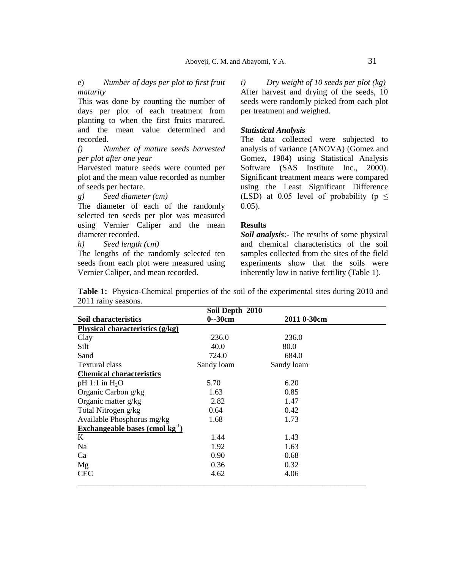e) *Number of days per plot to first fruit maturity*

This was done by counting the number of days per plot of each treatment from planting to when the first fruits matured, and the mean value determined and recorded.

*f) Number of mature seeds harvested per plot after one year* 

Harvested mature seeds were counted per plot and the mean value recorded as number of seeds per hectare.

*g) Seed diameter (cm)*

The diameter of each of the randomly selected ten seeds per plot was measured using Vernier Caliper and the mean diameter recorded.

*h) Seed length (cm)*

The lengths of the randomly selected ten seeds from each plot were measured using Vernier Caliper, and mean recorded.

*i) Dry weight of 10 seeds per plot (kg)*  After harvest and drying of the seeds, 10 seeds were randomly picked from each plot per treatment and weighed.

## *Statistical Analysis*

The data collected were subjected to analysis of variance (ANOVA) [\(Gomez and](http://scialert.net/fulltext/?doi=ajps.2011.52.59&org=11#1819_b)  [Gomez, 1984\)](http://scialert.net/fulltext/?doi=ajps.2011.52.59&org=11#1819_b) using Statistical Analysis Software (SAS Institute Inc., 2000). Significant treatment means were compared using the Least Significant Difference (LSD) at 0.05 level of probability ( $p \leq$ 0.05).

## **Results**

*Soil analysis*:- The results of some physical and chemical characteristics of the soil samples collected from the sites of the field experiments show that the soils were inherently low in native fertility (Table 1).

**Table 1:** Physico-Chemical properties of the soil of the experimental sites during 2010 and 2011 rainy seasons.

|                                      | Soil Depth 2010 |             |  |
|--------------------------------------|-----------------|-------------|--|
| Soil characteristics                 | $0 - 30$ cm     | 2011 0-30cm |  |
| Physical characteristics (g/kg)      |                 |             |  |
| Clay                                 | 236.0           | 236.0       |  |
| Silt                                 | 40.0            | 80.0        |  |
| Sand                                 | 724.0           | 684.0       |  |
| <b>Textural class</b>                | Sandy loam      | Sandy loam  |  |
| <b>Chemical characteristics</b>      |                 |             |  |
| $pH$ 1:1 in $H_2O$                   | 5.70            | 6.20        |  |
| Organic Carbon g/kg                  | 1.63            | 0.85        |  |
| Organic matter g/kg                  | 2.82            | 1.47        |  |
| Total Nitrogen g/kg                  | 0.64            | 0.42        |  |
| Available Phosphorus mg/kg           | 1.68            | 1.73        |  |
| Exchangeable bases (cmol $kg^{-1}$ ) |                 |             |  |
| K                                    | 1.44            | 1.43        |  |
| Na                                   | 1.92            | 1.63        |  |
| Ca                                   | 0.90            | 0.68        |  |
| Mg                                   | 0.36            | 0.32        |  |
| <b>CEC</b>                           | 4.62            | 4.06        |  |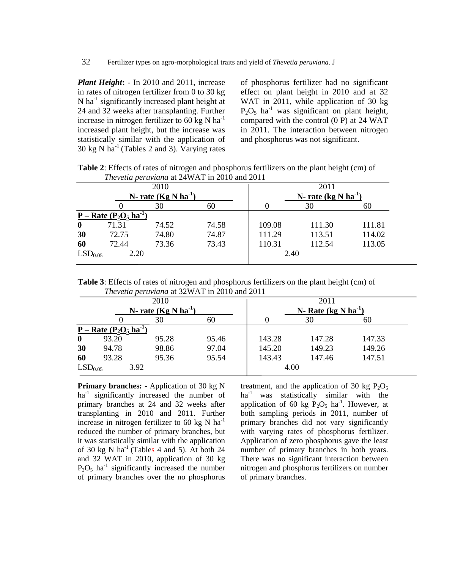*Plant Height***: -** In 2010 and 2011, increase in rates of nitrogen fertilizer from 0 to 30 kg N ha<sup>-1</sup> significantly increased plant height at 24 and 32 weeks after transplanting. Further increase in nitrogen fertilizer to 60 kg N  $ha^{-1}$ increased plant height, but the increase was statistically similar with the application of 30 kg N  $ha^{-1}$  (Tables 2 and 3). Varying rates

of phosphorus fertilizer had no significant effect on plant height in 2010 and at 32 WAT in 2011, while application of 30 kg  $P_2O_5$  ha<sup>-1</sup> was significant on plant height, compared with the control (0 P) at 24 WAT in 2011. The interaction between nitrogen and phosphorus was not significant.

**Table 2**: Effects of rates of nitrogen and phosphorus fertilizers on the plant height (cm) of *Thevetia peruviana* at 24WAT in 2010 and 2011

|                     |                        | 2010                    |       |        | 2011                              |        |
|---------------------|------------------------|-------------------------|-------|--------|-----------------------------------|--------|
|                     |                        | N-rate $(Kg N ha^{-1})$ |       |        | N-rate (kg $N$ ha <sup>-1</sup> ) |        |
|                     |                        | 30                      | 60    |        | 30                                | 60     |
|                     | $P - Rate (P2O5 ha-1)$ |                         |       |        |                                   |        |
| $\mathbf{0}$        | 71.31                  | 74.52                   | 74.58 | 109.08 | 111.30                            | 111.81 |
| 30                  | 72.75                  | 74.80                   | 74.87 | 111.29 | 113.51                            | 114.02 |
| 60                  | 72.44                  | 73.36                   | 73.43 | 110.31 | 112.54                            | 113.05 |
| LSD <sub>0.05</sub> | 2.20                   |                         |       | 2.40   |                                   |        |
|                     |                        |                         |       |        |                                   |        |

**Table 3**: Effects of rates of nitrogen and phosphorus fertilizers on the plant height (cm) of *Thevetia peruviana* at 32WAT in 2010 and 2011

|                     |                        | 2010                    |       |        | 2011                    |        |  |
|---------------------|------------------------|-------------------------|-------|--------|-------------------------|--------|--|
|                     |                        | N-rate $(Kg N ha^{-1})$ |       |        | N-Rate $(kg N ha^{-1})$ |        |  |
|                     |                        | 30                      | 60    |        | 30                      | 60     |  |
|                     | $P - Rate (P2O5 ha-1)$ |                         |       |        |                         |        |  |
| $\bf{0}$            | 93.20                  | 95.28                   | 95.46 | 143.28 | 147.28                  | 147.33 |  |
| 30                  | 94.78                  | 98.86                   | 97.04 | 145.20 | 149.23                  | 149.26 |  |
| 60                  | 93.28                  | 95.36                   | 95.54 | 143.43 | 147.46                  | 147.51 |  |
| LSD <sub>0.05</sub> | 3.92                   |                         |       | 4.00   |                         |        |  |

**Primary branches:** - Application of 30 kg N ha<sup>-1</sup> significantly increased the number of primary branches at 24 and 32 weeks after transplanting in 2010 and 2011. Further increase in nitrogen fertilizer to 60 kg N  $ha^{-1}$ reduced the number of primary branches, but it was statistically similar with the application of 30 kg N  $ha^{-1}$  (Tables 4 and 5). At both 24 and 32 WAT in 2010, application of 30 kg  $P_2O_5$  ha<sup>-1</sup> significantly increased the number of primary branches over the no phosphorus

treatment, and the application of 30 kg  $P_2O_5$ ha<sup>-1</sup> was statistically similar with the application of 60 kg  $\overline{P_2O_5}$  ha<sup>-1</sup>. However, at both sampling periods in 2011, number of primary branches did not vary significantly with varying rates of phosphorus fertilizer. Application of zero phosphorus gave the least number of primary branches in both years. There was no significant interaction between nitrogen and phosphorus fertilizers on number of primary branches.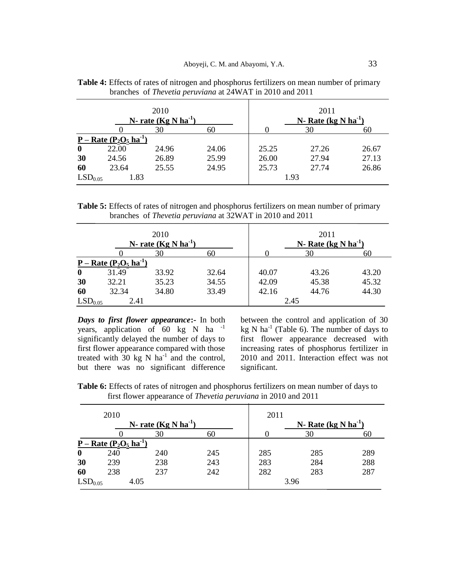|                     |                        | 2010                    |       |       | 2011                     |       |
|---------------------|------------------------|-------------------------|-------|-------|--------------------------|-------|
|                     |                        | N-rate $(Kg N ha^{-1})$ |       |       | N- Rate $(kg N ha^{-1})$ |       |
|                     |                        | 30                      | 60    |       | 30                       | 60    |
|                     | $P - Rate (P2O5 ha-1)$ |                         |       |       |                          |       |
| $\mathbf 0$         | 22.00                  | 24.96                   | 24.06 | 25.25 | 27.26                    | 26.67 |
| 30                  | 24.56                  | 26.89                   | 25.99 | 26.00 | 27.94                    | 27.13 |
| 60                  | 23.64                  | 25.55                   | 24.95 | 25.73 | 27.74                    | 26.86 |
| LSD <sub>0.05</sub> | 1.83                   |                         |       | 1.93  |                          |       |

**Table 4:** Effects of rates of nitrogen and phosphorus fertilizers on mean number of primary branches of *Thevetia peruviana* at 24WAT in 2010 and 2011

**Table 5:** Effects of rates of nitrogen and phosphorus fertilizers on mean number of primary branches of *Thevetia peruviana* at 32WAT in 2010 and 2011

|                     |                        | 2010<br>N-rate $(Kg N ha^{-1})$ |       |       | 2011<br>N- Rate $(kg N ha^{-1})$ |       |
|---------------------|------------------------|---------------------------------|-------|-------|----------------------------------|-------|
|                     |                        | 30                              | 60    |       | 30                               |       |
|                     | $P - Rate (P2O5 ha-1)$ |                                 |       |       |                                  |       |
| $\bf{0}$            | 31.49                  | 33.92                           | 32.64 | 40.07 | 43.26                            | 43.20 |
| 30                  | 32.21                  | 35.23                           | 34.55 | 42.09 | 45.38                            | 45.32 |
| 60                  | 32.34                  | 34.80                           | 33.49 | 42.16 | 44.76                            | 44.30 |
| LSD <sub>0.05</sub> | 2.41                   |                                 |       | 2.45  |                                  |       |

*Days to first flower appearance***:-** In both years, application of  $60 \text{ kg}$  N ha<sup>-1</sup> significantly delayed the number of days to first flower appearance compared with those treated with  $30 \text{ kg}$  N ha<sup>-1</sup> and the control, but there was no significant difference

between the control and application of 30 kg N ha<sup>-1</sup> (Table 6). The number of days to first flower appearance decreased with increasing rates of phosphorus fertilizer in 2010 and 2011. Interaction effect was not significant.

**Table 6:** Effects of rates of nitrogen and phosphorus fertilizers on mean number of days to first flower appearance of *Thevetia peruviana* in 2010 and 2011

|                     | 2010                                                         |                         |     | 2011 |                         |     |
|---------------------|--------------------------------------------------------------|-------------------------|-----|------|-------------------------|-----|
|                     |                                                              | N-rate $(Kg N ha^{-1})$ |     |      | N-Rate $(kg N ha^{-1})$ |     |
|                     |                                                              | 30                      | 60  |      | 30                      | 60  |
|                     | <u>P – Rate (P<sub>2</sub>O<sub>5</sub> ha<sup>-1</sup>)</u> |                         |     |      |                         |     |
| $\boldsymbol{0}$    | 240                                                          | 240                     | 245 | 285  | 285                     | 289 |
| 30                  | 239                                                          | 238                     | 243 | 283  | 284                     | 288 |
| 60                  | 238                                                          | 237                     | 242 | 282  | 283                     | 287 |
| LSD <sub>0.05</sub> | 4.05                                                         |                         |     |      | 3.96                    |     |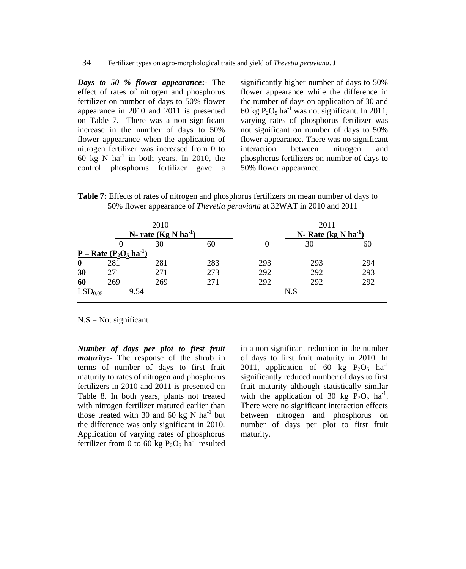*Days to 50 % flower appearance***:-** The effect of rates of nitrogen and phosphorus fertilizer on number of days to 50% flower appearance in 2010 and 2011 is presented on Table 7. There was a non significant increase in the number of days to 50% flower appearance when the application of nitrogen fertilizer was increased from 0 to 60 kg N ha $^{-1}$  in both years. In 2010, the control phosphorus fertilizer gave a significantly higher number of days to 50% flower appearance while the difference in the number of days on application of 30 and 60 kg  $P_2O_5$  ha<sup>-1</sup> was not significant. In 2011, varying rates of phosphorus fertilizer was not significant on number of days to 50% flower appearance. There was no significant interaction between nitrogen and phosphorus fertilizers on number of days to 50% flower appearance.

**Table 7:** Effects of rates of nitrogen and phosphorus fertilizers on mean number of days to 50% flower appearance of *Thevetia peruviana* at 32WAT in 2010 and 2011

|                     |                        | 2010                    |     |     | 2011                               |     |  |  |
|---------------------|------------------------|-------------------------|-----|-----|------------------------------------|-----|--|--|
|                     |                        | N-rate $(Kg N ha^{-1})$ |     |     | N- Rate (kg $N$ ha <sup>-1</sup> ) |     |  |  |
|                     |                        | 30                      | 60  |     | 30                                 | 60  |  |  |
|                     | $P - Rate (P2O5 ha-1)$ |                         |     |     |                                    |     |  |  |
| $\boldsymbol{0}$    | 281                    | 281                     | 283 | 293 | 293                                | 294 |  |  |
| 30                  | 271                    | 271                     | 273 | 292 | 292                                | 293 |  |  |
| 60                  | 269                    | 269                     | 271 | 292 | 292                                | 292 |  |  |
| LSD <sub>0.05</sub> | 9.54                   |                         |     |     | N.S                                |     |  |  |

 $N.S = Not significant$ 

*Number of days per plot to first fruit maturity***:-** The response of the shrub in terms of number of days to first fruit maturity to rates of nitrogen and phosphorus fertilizers in 2010 and 2011 is presented on Table 8. In both years, plants not treated with nitrogen fertilizer matured earlier than those treated with 30 and 60 kg N ha<sup>-1</sup> but the difference was only significant in 2010. Application of varying rates of phosphorus fertilizer from 0 to 60 kg  $P_2O_5$  ha<sup>-1</sup> resulted in a non significant reduction in the number of days to first fruit maturity in 2010. In 2011, application of 60 kg  $P_2O_5$  ha<sup>-1</sup> significantly reduced number of days to first fruit maturity although statistically similar with the application of 30 kg  $P_2O_5$  ha<sup>-1</sup>. There were no significant interaction effects between nitrogen and phosphorus on number of days per plot to first fruit maturity.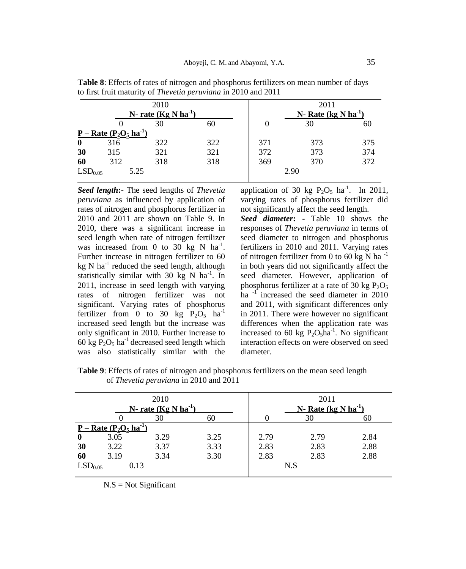|                     |                                                              | 2010                    |     |     | 2011                     |     |
|---------------------|--------------------------------------------------------------|-------------------------|-----|-----|--------------------------|-----|
|                     |                                                              | N-rate $(Kg N ha^{-1})$ |     |     | N-Rate (kg N $ha^{-1}$ ) |     |
|                     |                                                              | 30                      | 60  |     | 30                       | 60  |
|                     | <u>P – Rate (P<sub>2</sub>O<sub>5</sub> ha<sup>-1</sup>)</u> |                         |     |     |                          |     |
| $\bf{0}$            | 316                                                          | 322                     | 322 | 371 | 373                      | 375 |
| 30                  | 315                                                          | 321                     | 321 | 372 | 373                      | 374 |
| 60                  | 312                                                          | 318                     | 318 | 369 | 370                      | 372 |
| LSD <sub>0.05</sub> | 5.25                                                         |                         |     |     | 2.90                     |     |

**Table 8**: Effects of rates of nitrogen and phosphorus fertilizers on mean number of days to first fruit maturity of *Thevetia peruviana* in 2010 and 2011

*Seed length***:-** The seed lengths of *Thevetia peruviana* as influenced by application of rates of nitrogen and phosphorus fertilizer in 2010 and 2011 are shown on Table 9. In 2010, there was a significant increase in seed length when rate of nitrogen fertilizer was increased from 0 to 30 kg N  $\text{ha}^{-1}$ . Further increase in nitrogen fertilizer to 60  $kg$  N ha<sup>-1</sup> reduced the seed length, although statistically similar with 30  $kg$  N ha<sup>-1</sup>. In 2011, increase in seed length with varying rates of nitrogen fertilizer was not significant. Varying rates of phosphorus fertilizer from 0 to 30 kg  $P_2O_5$  ha<sup>-1</sup> increased seed length but the increase was only significant in 2010. Further increase to 60 kg  $P_2O_5$  ha<sup>-1</sup> decreased seed length which was also statistically similar with the

application of 30 kg  $P_2O_5$  ha<sup>-1</sup>. In 2011, varying rates of phosphorus fertilizer did not significantly affect the seed length.

*Seed diameter***: -** Table 10 shows the responses of *Thevetia peruviana* in terms of seed diameter to nitrogen and phosphorus fertilizers in 2010 and 2011. Varying rates of nitrogen fertilizer from 0 to 60 kg N ha $^{-1}$ in both years did not significantly affect the seed diameter. However, application of phosphorus fertilizer at a rate of 30 kg  $P_2O_5$ ha<sup>-1</sup> increased the seed diameter in 2010 and 2011, with significant differences only in 2011. There were however no significant differences when the application rate was increased to 60 kg  $P_2O_5ha^{-1}$ . No significant interaction effects on were observed on seed diameter.

|                     |                                                              | 2010<br>N-rate $(Kg N ha^{-1})$ |      |      | 2011<br>N- Rate $(kg N ha^{-1})$ |      |
|---------------------|--------------------------------------------------------------|---------------------------------|------|------|----------------------------------|------|
|                     |                                                              | 30                              | 60   |      | 30                               | 60   |
|                     | <u>P – Rate (P<sub>2</sub>O<sub>5</sub> ha<sup>-1</sup>)</u> |                                 |      |      |                                  |      |
| $\bf{0}$            | 3.05                                                         | 3.29                            | 3.25 | 2.79 | 2.79                             | 2.84 |
| 30                  | 3.22                                                         | 3.37                            | 3.33 | 2.83 | 2.83                             | 2.88 |
| 60                  | 3.19                                                         | 3.34                            | 3.30 | 2.83 | 2.83                             | 2.88 |
| LSD <sub>0.05</sub> | 0.13                                                         |                                 |      |      | N.S                              |      |

**Table 9**: Effects of rates of nitrogen and phosphorus fertilizers on the mean seed length of *Thevetia peruviana* in 2010 and 2011

 $N.S = Not Significant$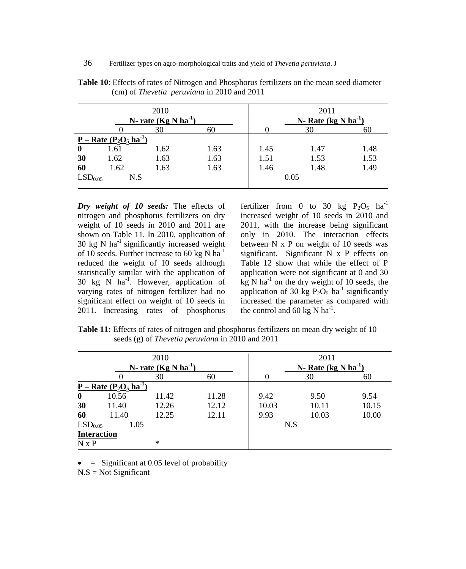|                     |                        | 2010<br>N-rate $(Kg N ha^{-1})$ |      |      | 2011<br>N-Rate $(kg N ha^{-1})$ |      |
|---------------------|------------------------|---------------------------------|------|------|---------------------------------|------|
|                     |                        | 30                              | 60   |      | 30                              | 60   |
|                     | $P - Rate (P2O5 ha-1)$ |                                 |      |      |                                 |      |
| $\bf{0}$            | 1.61                   | 1.62                            | 1.63 | 1.45 | 1.47                            | 1.48 |
| 30                  | 1.62                   | 1.63                            | 1.63 | 1.51 | 1.53                            | 1.53 |
| 60                  | 1.62                   | 1.63                            | 1.63 | 1.46 | 1.48                            | 1.49 |
| LSD <sub>0.05</sub> | N.S                    |                                 |      |      | 0.05                            |      |

**Table 10**: Effects of rates of Nitrogen and Phosphorus fertilizers on the mean seed diameter (cm) of *Thevetia peruviana* in 2010 and 2011

*Dry weight of 10 seeds:* The effects of nitrogen and phosphorus fertilizers on dry weight of 10 seeds in 2010 and 2011 are shown on Table 11. In 2010, application of 30 kg N  $ha^{-1}$  significantly increased weight of 10 seeds. Further increase to 60 kg N ha<sup>-1</sup> reduced the weight of 10 seeds although statistically similar with the application of 30 kg N ha-1 . However, application of varying rates of nitrogen fertilizer had no significant effect on weight of 10 seeds in 2011. Increasing rates of phosphorus fertilizer from 0 to 30 kg  $P_2O_5$  ha<sup>-1</sup> increased weight of 10 seeds in 2010 and 2011, with the increase being significant only in 2010. The interaction effects between N x P on weight of 10 seeds was significant. Significant N x P effects on Table 12 show that while the effect of P application were not significant at 0 and 30  $kg$  N ha<sup>-1</sup> on the dry weight of 10 seeds, the application of 30 kg  $P_2O_5$  ha<sup>-1</sup> significantly increased the parameter as compared with the control and 60 kg N ha<sup>-1</sup>.

Table 11: Effects of rates of nitrogen and phosphorus fertilizers on mean dry weight of 10 seeds (g) of *Thevetia peruviana* in 2010 and 2011

|                     |                        | 2010                    |       |       | 2011                            |       |
|---------------------|------------------------|-------------------------|-------|-------|---------------------------------|-------|
|                     |                        | N-rate $(Kg N ha^{-1})$ |       |       | N-Rate (kg N ha <sup>-1</sup> ) |       |
|                     |                        | 30                      | 60    |       | 30                              | 60    |
|                     | $P - Rate (P2O5 ha-1)$ |                         |       |       |                                 |       |
| $\bf{0}$            | 10.56                  | 11.42                   | 11.28 | 9.42  | 9.50                            | 9.54  |
| 30                  | 11.40                  | 12.26                   | 12.12 | 10.03 | 10.11                           | 10.15 |
| 60                  | 11.40                  | 12.25                   | 12.11 | 9.93  | 10.03                           | 10.00 |
| LSD <sub>0.05</sub> | 1.05                   |                         |       | N.S   |                                 |       |
|                     | <b>Interaction</b>     |                         |       |       |                                 |       |
| $N \times P$        |                        | $\ast$                  |       |       |                                 |       |

 $\bullet$  = Significant at 0.05 level of probability

 $N.S = Not Significant$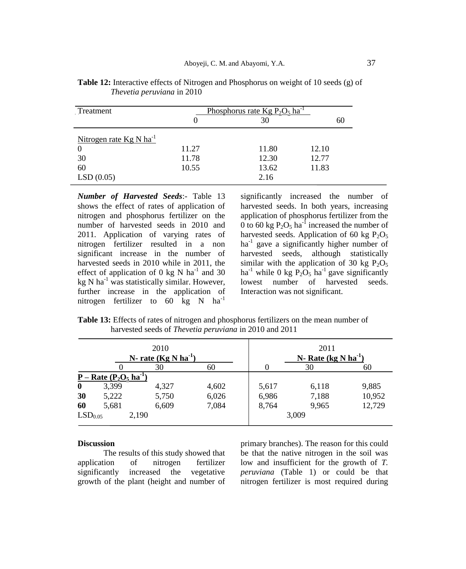| Treatment                    | <u>Phosphorus rate Kg P<sub>2</sub>O<sub>5</sub> ha<sup>-1</sup></u> |       |       |  |  |
|------------------------------|----------------------------------------------------------------------|-------|-------|--|--|
|                              |                                                                      | 30    | 60    |  |  |
| Nitrogen rate $Kg N ha^{-1}$ |                                                                      |       |       |  |  |
|                              |                                                                      |       |       |  |  |
|                              | 11.27                                                                | 11.80 | 12.10 |  |  |
| 30                           | 11.78                                                                | 12.30 | 12.77 |  |  |
| 60                           | 10.55                                                                | 13.62 | 11.83 |  |  |
| LSD(0.05)                    |                                                                      | 2.16  |       |  |  |

**Table 12:** Interactive effects of Nitrogen and Phosphorus on weight of 10 seeds (g) of *Thevetia peruviana* in 2010

*Number of Harvested Seeds*:- Table 13 shows the effect of rates of application of nitrogen and phosphorus fertilizer on the number of harvested seeds in 2010 and 2011. Application of varying rates of nitrogen fertilizer resulted in a non significant increase in the number of harvested seeds in 2010 while in 2011, the effect of application of 0 kg N ha<sup>-1</sup> and 30 kg N ha<sup>-1</sup> was statistically similar. However, further increase in the application of nitrogen fertilizer to 60 kg N  $ha^{-1}$ 

significantly increased the number of harvested seeds. In both years, increasing application of phosphorus fertilizer from the 0 to 60 kg  $P_2O_5$  ha<sup>-1</sup> increased the number of harvested seeds. Application of 60 kg  $P_2O_5$ ha<sup>-1</sup> gave a significantly higher number of harvested seeds, although statistically similar with the application of 30 kg  $P_2O_5$ ha<sup>-1</sup> while 0 kg  $P_2O_5$  ha<sup>-1</sup> gave significantly lowest number of harvested seeds. Interaction was not significant.

**Table 13:** Effects of rates of nitrogen and phosphorus fertilizers on the mean number of harvested seeds of *Thevetia peruviana* in 2010 and 2011

| 2010<br>N-rate $(Kg N ha^{-1})$ |                        |       |       | 2011<br>N-Rate $(kg N ha^{-1})$ |       |        |
|---------------------------------|------------------------|-------|-------|---------------------------------|-------|--------|
|                                 |                        | 30    | 60    |                                 | 30    | 60     |
|                                 | $P - Rate (P2O5 ha-1)$ |       |       |                                 |       |        |
| $\bf{0}$                        | 3,399                  | 4,327 | 4,602 | 5,617                           | 6,118 | 9,885  |
| 30                              | 5,222                  | 5,750 | 6,026 | 6,986                           | 7,188 | 10,952 |
| 60                              | 5,681                  | 6,609 | 7,084 | 8,764                           | 9,965 | 12,729 |
| LSD <sub>0.05</sub>             |                        | 2,190 |       |                                 | 3,009 |        |

# **Discussion**

The results of this study showed that application of nitrogen fertilizer significantly increased the vegetative growth of the plant (height and number of

primary branches). The reason for this could be that the native nitrogen in the soil was low and insufficient for the growth of *T. peruviana* (Table 1) or could be that nitrogen fertilizer is most required during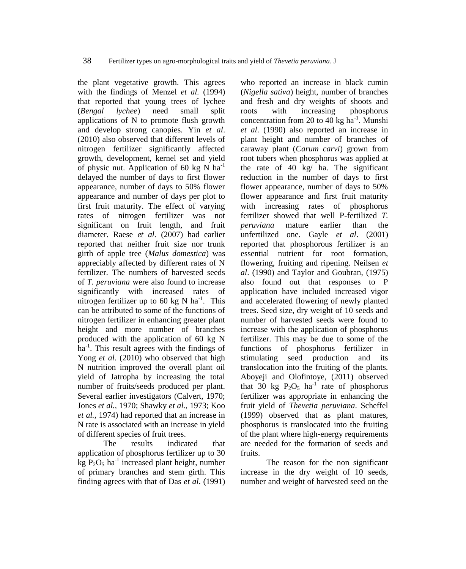the plant vegetative growth. This agrees with the findings of Menzel *et al.* (1994) that reported that young trees of lychee (*Bengal lychee*) need small split applications of N to promote flush growth and develop strong canopies. Yin *[et al](http://scialert.net/fulltext/?doi=ajps.2011.52.59&org=11#629547_ja)*. [\(2010\)](http://scialert.net/fulltext/?doi=ajps.2011.52.59&org=11#629547_ja) also observed that different levels of nitrogen fertilizer significantly affected growth, development, kernel set and yield of physic nut. Application of 60 kg N  $ha^{-1}$ delayed the number of days to first flower appearance, number of days to 50% flower appearance and number of days per plot to first fruit maturity. The effect of varying rates of nitrogen fertilizer was not significant on fruit length, and fruit diameter. Raese *et al.* (2007) had earlier reported that neither fruit size nor trunk girth of apple tree (*Malus domestica*) was appreciably affected by different rates of N fertilizer. The numbers of harvested seeds of *T. peruviana* were also found to increase significantly with increased rates of nitrogen fertilizer up to 60 kg N  $\text{ha}^{-1}$ . This can be attributed to some of the functions of nitrogen fertilizer in enhancing greater plant height and more number of branches produced with the application of 60 kg N ha<sup>-1</sup>. This result agrees with the findings of Yong *et al*[. \(2010\)](http://scialert.net/fulltext/?doi=ajps.2011.52.59&org=11#622861_ja) who observed that high N nutrition improved the overall plant oil yield of Jatropha by increasing the total number of fruits/seeds produced per plant. Several earlier investigators (Calvert, 1970; Jones *et al.,* 1970; Shawky *et al.,* 1973; Koo *et al.,* 1974) had reported that an increase in N rate is associated with an increase in yield of different species of fruit trees.

The results indicated that application of phosphorus fertilizer up to 30  $kg P_2O_5$  ha<sup>-1</sup> increased plant height, number of primary branches and stem girth. This finding agrees with that of Das *et al*. (1991) who reported an increase in black cumin (*Nigella sativa*) height, number of branches and fresh and dry weights of shoots and roots with increasing phosphorus concentration from 20 to 40 kg  $ha^{-1}$ . Munshi *et al*. (1990) also reported an increase in plant height and number of branches of caraway plant (*Carum carvi*) grown from root tubers when phosphorus was applied at the rate of 40 kg/ ha. The significant reduction in the number of days to first flower appearance, number of days to 50% flower appearance and first fruit maturity with increasing rates of phosphorus fertilizer showed that well P-fertilized *T. peruviana* mature earlier than the unfertilized one. Gayle *et al*. (2001) reported that phosphorous fertilizer is an essential nutrient for root formation, flowering, fruiting and ripening. Neilsen *et al*. (1990) and Taylor and Goubran, (1975) also found out that responses to P application have included increased vigor and accelerated flowering of newly planted trees. Seed size, dry weight of 10 seeds and number of harvested seeds were found to increase with the application of phosphorus fertilizer. This may be due to some of the functions of phosphorus fertilizer in stimulating seed production and its translocation into the fruiting of the plants. Aboyeji and Olofintoye, (2011) observed that 30 kg  $P_2O_5$  ha<sup>-1</sup> rate of phosphorus fertilizer was appropriate in enhancing the fruit yield of *Thevetia peruviana*. Scheffel (1999) observed that as plant matures, phosphorus is translocated into the fruiting of the plant where high-energy requirements are needed for the formation of seeds and fruits.

The reason for the non significant increase in the dry weight of 10 seeds, number and weight of harvested seed on the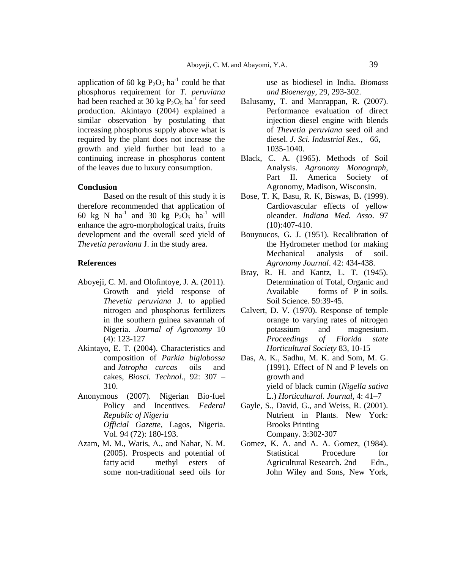application of 60 kg  $P_2O_5$  ha<sup>-1</sup> could be that phosphorus requirement for *T. peruviana* had been reached at 30 kg  $P_2O_5$  ha<sup>-1</sup> for seed production. Akintayo (2004) explained a similar observation by postulating that increasing phosphorus supply above what is required by the plant does not increase the growth and yield further but lead to a continuing increase in phosphorus content of the leaves due to luxury consumption.

## **Conclusion**

Based on the result of this study it is therefore recommended that application of 60 kg N ha<sup>-1</sup> and 30 kg  $\overrightarrow{P_2O_5}$  ha<sup>-1</sup> will enhance the agro-morphological traits, fruits development and the overall seed yield of *Thevetia peruviana* J. in the study area.

#### **References**

- Aboyeji, C. M. and Olofintoye, J. A. (2011). Growth and yield response of *Thevetia peruviana* J. to applied nitrogen and phosphorus fertilizers in the southern guinea savannah of Nigeria. *Journal of Agronomy* 10 (4): 123-127
- Akintayo, E. T. (2004). Characteristics and composition of *Parkia biglobossa* and *Jatropha curcas* oils and cakes, *Biosci. Technol*., 92: 307 – 310.
- Anonymous (2007). Nigerian Bio-fuel Policy and Incentives. *Federal Republic of Nigeria Official Gazette,* Lagos, Nigeria. Vol. 94 (72): 180-193.
- Azam, M. M., Waris, A., and Nahar, N. M. (2005). Prospects and potential of fatty acid methyl esters of some non-traditional seed oils for

use as biodiesel in India. *Biomass and Bioenergy*, 29, 293-302.

- Balusamy, T. and Manrappan, R. (2007). Performance evaluation of direct injection diesel engine with blends of *Thevetia peruviana* seed oil and diesel. *J. Sci. Industrial Res*., 66, 1035-1040.
- Black, C. A. (1965). Methods of Soil Analysis. *Agronomy Monograph*, Part II. America Society of Agronomy, Madison, Wisconsin.
- Bose, T. K, Basu, R. K, Biswas, B**.** (1999). Cardiovascular effects of yellow oleander. *Indiana Med. Asso*. 97 (10):407-410.
- Bouyoucos, G. J. (1951). Recalibration of the Hydrometer method for making Mechanical analysis of soil. *Agronomy Journal*. 42: 434-438.
- Bray, R. H. and Kantz, L. T. (1945). Determination of Total, Organic and Available forms of P in soils. Soil Science. 59:39-45.
- Calvert, D. V. (1970). Response of temple orange to varying rates of nitrogen potassium and magnesium. *Proceedings of Florida state Horticultural Society* 83, 10-15
- Das, A. K., Sadhu, M. K. and Som, M. G. (1991). Effect of N and P levels on growth and yield of black cumin (*Nigella sativa*  L.) *Horticultural. Journal,* 4: 41–7
- Gayle, S., David, G., and Weiss, R. (2001). Nutrient in Plants. New York: Brooks Printing Company. 3:302-307
- Gomez, K. A. and A. A. Gomez, (1984). Statistical Procedure for Agricultural Research. 2nd Edn., John Wiley and Sons, New York,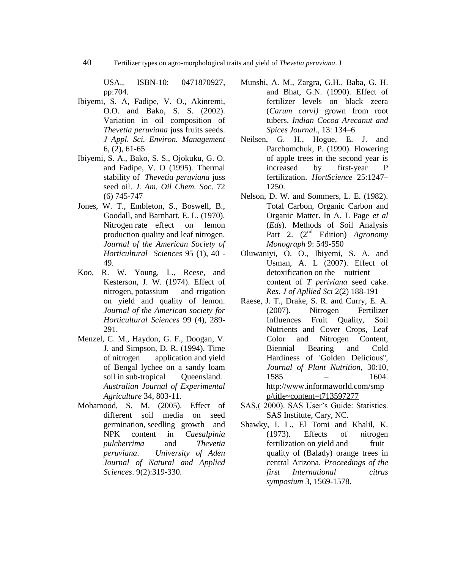USA., ISBN-10: 0471870927, pp:704.

- Ibiyemi, S. A, Fadipe, V. O., Akinremi, O.O. and Bako, S. S. (2002). Variation in oil composition of *Thevetia peruviana* juss fruits seeds. *J Appl. Sci. Environ. Management* 6, (2), 61-65
- Ibiyemi, S. A., Bako, S. S., Ojokuku, G. O. and Fadipe, V. O (1995). Thermal stability of *Thevetia peruviana* juss seed oil. *J. Am. Oil Chem. Soc*. 72 (6) 745-747
- Jones, W. T., Embleton, S., Boswell, B., Goodall, and Barnhart, E. L. (1970). Nitrogen rate effect on lemon production quality and leaf nitrogen. *Journal of the American Society of Horticultural Sciences* 95 (1), 40 - 49.
- Koo, R. W. Young, L., Reese, and Kesterson, J. W. (1974). Effect of nitrogen, potassium and rrigation on yield and quality of lemon. *Journal of the American society for Horticultural Sciences* 99 (4), 289- 291.
- Menzel, C. M., Haydon, G. F., Doogan, V. J. and Simpson, D. R. (1994). Time of nitrogen application and yield of Bengal lychee on a sandy loam soil in sub-tropical Oueensland. *Australian Journal of Experimental Agriculture* 34, 803-11.
- Mohamood, S. M. (2005). Effect of different soil media on seed germination, seedling growth and NPK content in *Caesalpinia pulcherrima* and *Thevetia peruviana*. *University of Aden Journal of Natural and Applied Sciences*. 9(2):319-330.
- Munshi, A. M., Zargra, G.H., Baba, G. H. and Bhat, G.N. (1990). Effect of fertilizer levels on black zeera (*Carum carvi)* grown from root tubers. *Indian Cocoa Arecanut and Spices Journal.*, 13: 134–6
- Neilsen, G. H., Hogue, E. J. and Parchomchuk, P. (1990). Flowering of apple trees in the second year is increased by first-year P fertilization. *HortScience* 25:1247– 1250.
- Nelson, D. W. and Sommers, L. E. (1982). Total Carbon, Organic Carbon and Organic Matter. In A. L Page *et al* (*Eds*). Methods of Soil Analysis Part 2. (2<sup>nd</sup> Edition) *Agronomy Monograph* 9: 549-550
- Oluwaniyi, O. O., Ibiyemi, S. A. and Usman, A. L (2007). Effect of detoxification on the nutrient content of *T periviana* seed cake. *Res*. *J of Apllied Sci* 2(2) 188-191
- Raese, J. T., Drake, S. R. and Curry, E. A. (2007). Nitrogen Fertilizer Influences Fruit Quality, Soil Nutrients and Cover Crops, Leaf Color and Nitrogen Content, Biennial Bearing and Cold Hardiness of 'Golden Delicious'', *Journal of Plant Nutrition*, 30:10, 1585 – 1604. [http://www.informaworld.com/smp](http://www.informaworld.com/smpp/title~content=t713597277) [p/title~content=t713597277](http://www.informaworld.com/smpp/title~content=t713597277)
- SAS, (2000). SAS User's Guide: Statistics. SAS Institute, Cary, NC.
- Shawky, I. L., El Tomi and Khalil, K. (1973). Effects of nitrogen fertilization on yield and fruit quality of (Balady) orange trees in central Arizona. *Proceedings of the first International citrus symposium* 3, 1569-1578.